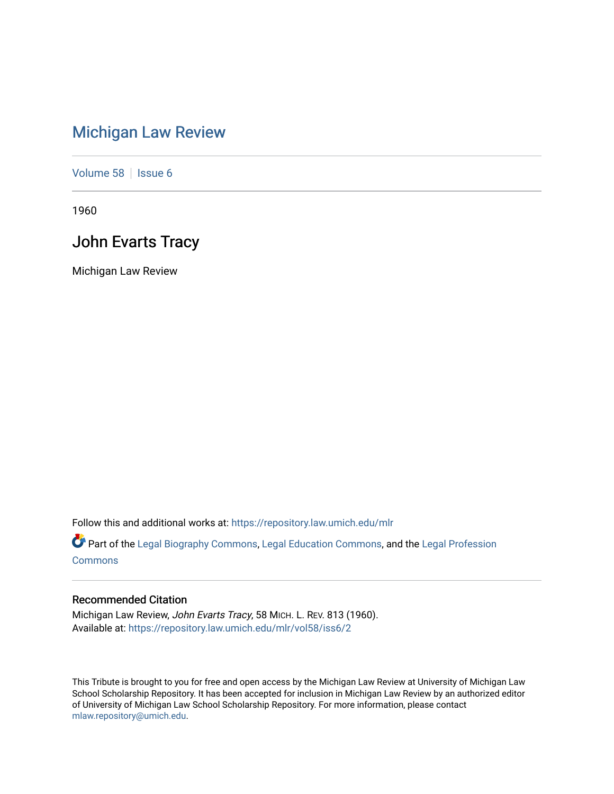## [Michigan Law Review](https://repository.law.umich.edu/mlr)

[Volume 58](https://repository.law.umich.edu/mlr/vol58) | [Issue 6](https://repository.law.umich.edu/mlr/vol58/iss6)

1960

### John Evarts Tracy

Michigan Law Review

Follow this and additional works at: [https://repository.law.umich.edu/mlr](https://repository.law.umich.edu/mlr?utm_source=repository.law.umich.edu%2Fmlr%2Fvol58%2Fiss6%2F2&utm_medium=PDF&utm_campaign=PDFCoverPages) 

Part of the [Legal Biography Commons,](http://network.bepress.com/hgg/discipline/834?utm_source=repository.law.umich.edu%2Fmlr%2Fvol58%2Fiss6%2F2&utm_medium=PDF&utm_campaign=PDFCoverPages) [Legal Education Commons,](http://network.bepress.com/hgg/discipline/857?utm_source=repository.law.umich.edu%2Fmlr%2Fvol58%2Fiss6%2F2&utm_medium=PDF&utm_campaign=PDFCoverPages) and the [Legal Profession](http://network.bepress.com/hgg/discipline/1075?utm_source=repository.law.umich.edu%2Fmlr%2Fvol58%2Fiss6%2F2&utm_medium=PDF&utm_campaign=PDFCoverPages)  **[Commons](http://network.bepress.com/hgg/discipline/1075?utm_source=repository.law.umich.edu%2Fmlr%2Fvol58%2Fiss6%2F2&utm_medium=PDF&utm_campaign=PDFCoverPages)** 

#### Recommended Citation

Michigan Law Review, John Evarts Tracy, 58 MICH. L. REV. 813 (1960). Available at: [https://repository.law.umich.edu/mlr/vol58/iss6/2](https://repository.law.umich.edu/mlr/vol58/iss6/2?utm_source=repository.law.umich.edu%2Fmlr%2Fvol58%2Fiss6%2F2&utm_medium=PDF&utm_campaign=PDFCoverPages)

This Tribute is brought to you for free and open access by the Michigan Law Review at University of Michigan Law School Scholarship Repository. It has been accepted for inclusion in Michigan Law Review by an authorized editor of University of Michigan Law School Scholarship Repository. For more information, please contact [mlaw.repository@umich.edu.](mailto:mlaw.repository@umich.edu)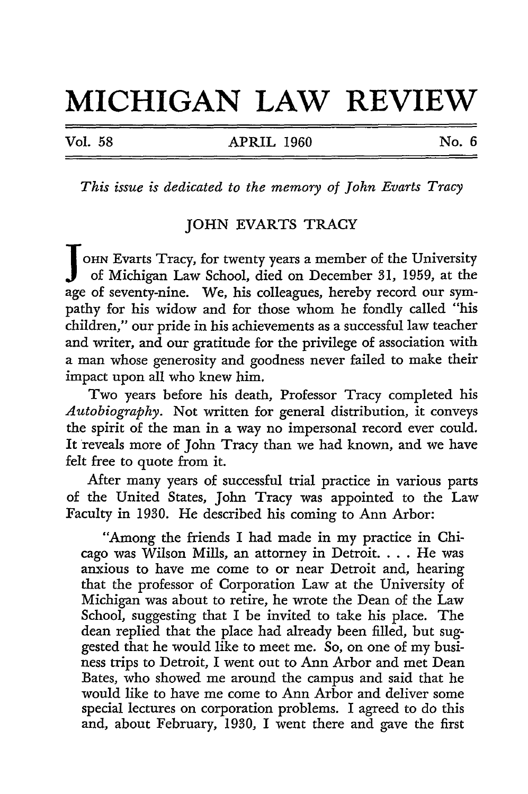# **MICHIGAN LAW REVIEW**

Vol. 58 **APRIL 1960** No. 6

*This issue is dedicated to the memory of John Evarts Tracy* 

#### JOHN EVARTS TRACY

 $\int_{\frac{2\sigma}{c}}$ OHN Evarts Tracy, for twenty years a member of the University of Michigan Law School, died on December 31, 1959, at the age of seventy-nine. We, his colleagues, hereby record our sympathy for his widow and for those whom he fondly called "his children," our pride in his achievements as a successful law teacher and writer, and our gratitude for the privilege of association with a man whose generosity and goodness never failed to make their impact upon all who knew him.

Two years before his death, Professor Tracy completed his *Autobiography.* Not written for general distribution, it conveys the spirit of the man in a way no impersonal record ever could. It reveals more of John Tracy than we had known, and we have felt free to quote from it.

After many years of successful trial practice in various parts of the United States, John Tracy was appointed to the Law Faculty in 1930. He described his coming to Ann Arbor:

"Among the friends I had made in my practice in Chicago was Wilson Mills, an attorney in Detroit. . . . He was anxious to have me come to or near Detroit and, hearing that the professor of Corporation Law at the University of Michigan was about to retire, he wrote the Dean of the Law School, suggesting that I be invited to take his place. The dean replied that the place had already been filled, but suggested that he would like to meet me. So, on one of my business trips to Detroit, I went out to Ann Arbor and met Dean Bates, who showed me around the campus and said that he would like to have me come to Ann Arbor and deliver some special lectures on corporation problems. I agreed to do this and, about February, 1930, I went there and gave the first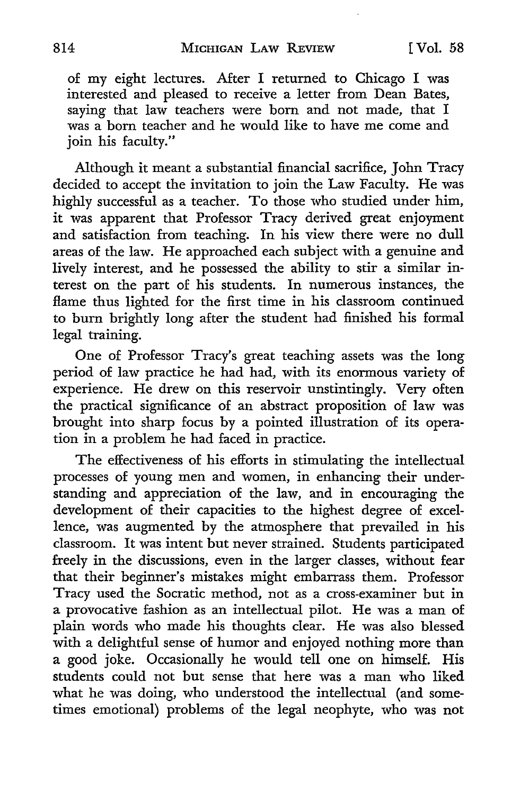of my eight lectures. After I returned to Chicago I was interested and pleased to receive a letter from Dean Bates, saying that law teachers were born and not made, that I was a born teacher and he would like to have me come and join his faculty."

Although it meant a substantial financial sacrifice, John Tracy decided to accept the invitation to join the Law Faculty. He was highly successful as a teacher. To those who studied under him, it was apparent that Professor Tracy derived great enjoyment and satisfaction from teaching. In his view there were no dull areas of the law. He approached each subject with a genuine and lively interest, and he possessed the ability to stir a similar interest on the part of his students. In numerous instances, the flame thus lighted for the first time in his classroom continued to burn brightly long after the student had finished his formal legal training.

One of Professor Tracy's great teaching assets was the long period of law practice he had had, with its enormous variety of experience. He drew on this reservoir unstintingly. Very often the practical significance of an abstract proposition of law was brought into sharp focus by a pointed illustration of its operation in a problem he had faced in practice.

The effectiveness of his efforts in stimulating the intellectual processes of young men and women, in enhancing their understanding and appreciation of the law, and in encouraging the development of their capacities to the highest degree of excellence, was augmented by the atmosphere that prevailed in his classroom. It was intent but never strained. Students participated freely in the discussions, even in the larger classes, without fear that their beginner's mistakes might embarrass them. Professor Tracy used the Socratic method, not as a cross-examiner but in a provocative fashion as an intellectual pilot. He was a man of plain words who made his thoughts clear. He was also blessed with a delightful sense of humor and enjoyed nothing more than a good joke. Occasionally he would tell one on himself. His students could not but sense that here was a man who liked what he was doing, who understood the intellectual (and sometimes emotional) problems of the legal neophyte, who was not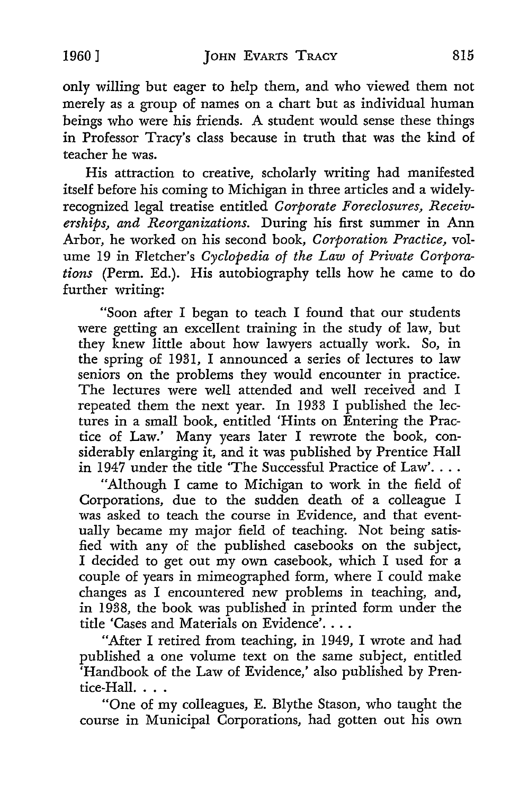only willing but eager to help them, and who viewed them not merely as a group of names on a chart but as individual human beings who were his friends. A student would sense these things in Professor Tracy's class because in truth that was the kind of teacher he was.

His attraction to creative, scholarly writing had manifested itself before his coming to Michigan in three articles and a widelyrecognized legal treatise entitled *Corporate Foreclosures, Receiverships, and Reorganizations.* During his first summer in Ann Arbor, he worked on his second book, *Corporation Practice,* volume 19 in Fletcher's *Cyclopedia of the Law of Private Corporations* (Perm. Ed.). His autobiography tells how he came to do further writing:

"Soon after I began to teach I found that our students were getting an excellent training in the study of law, but they knew little about how lawyers actually work. So, in the spring of 1931, I announced a series of lectures to law seniors on the problems they would encounter in practice. The lectures were well attended and well received and I repeated them the next year. In 1933 I published the lectures in a small book, entitled 'Hints on Entering the Practice of Law.' Many years later I rewrote the book, considerably enlarging it, and it was published by Prentice Hall in 1947 under the title 'The Successful Practice of Law'....

"Although I came to Michigan to work in the field of Corporations, due to the sudden death of a colleague I was asked to teach the course in Evidence, and that eventually became my major field of teaching. Not being satisfied with any of the published casebooks on the subject, I decided to get out my own casebook, which I used for a couple of years in mimeographed form, where I could make changes as I encountered new problems in teaching, and, in 1938, the book was published in printed form under the title 'Cases and Materials on Evidence'....

"After I retired from teaching, in 1949, I wrote and had published a one volume text on the same subject, entitled 'Handbook of the Law of Evidence,' also published by Prentice-Hall. $\ldots$ .

"One of my colleagues, E. Blythe Stason, who taught the course in Municipal Corporations, had gotten out his own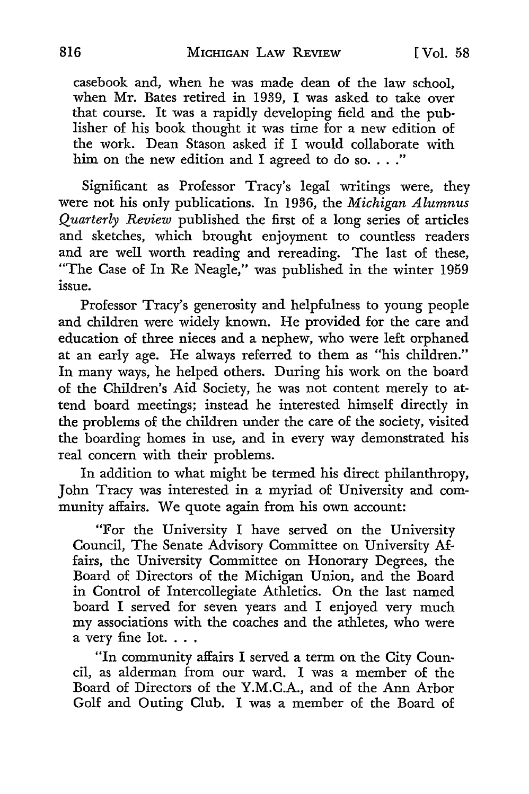casebook and, when he was made dean of the law school, when Mr. Bates retired in 1939, I was asked to take over that course. It was a rapidly developing field and the publisher of his book thought it was time for a new edition of the work. Dean Stason asked if I would collaborate with him on the new edition and I agreed to do so...."

Significant as Professor Tracy's legal writings were, they were not his only publications. In 1936, the *Michigan Alumnus Quarterly Review* published the first of a long series of articles and sketches, which brought enjoyment to countless readers and are well worth reading and rereading. The last of these, "The Case of In Re Neagle," was published in the winter 1959 issue.

Professor Tracy's generosity and helpfulness to young people and children were widely known. He provided for the care and education of three nieces and a nephew, who were left orphaned at an early age. He always referred to them as "his children." In many ways, he helped others. During his work on the board of the Children's Aid Society, he was not content merely to attend board meetings; instead he interested himself directly in the problems of the children under the care of the society, visited the boarding homes in use, and in every way demonstrated his real concern with their problems.

In addition to what might be termed his direct philanthropy, John Tracy was interested in a myriad of University and community affairs. We quote again from his own account:

"For the University I have served on the University Council, The Senate Advisory Committee on University Affairs, the University Committee on Honorary Degrees, the Board of Directors of the Michigan Union, and the Board in Control of Intercollegiate Athletics. On the last named board I served for seven years and I enjoyed very much my associations with the coaches and the athletes, who were a very fine lot. . . .

"In community affairs I served a term on the City Council, as alderman from our ward. I was a member of the Board of Directors of the **Y.M.C.A.,** and of the Ann Arbor Golf and Outing Club. I was a member of the Board of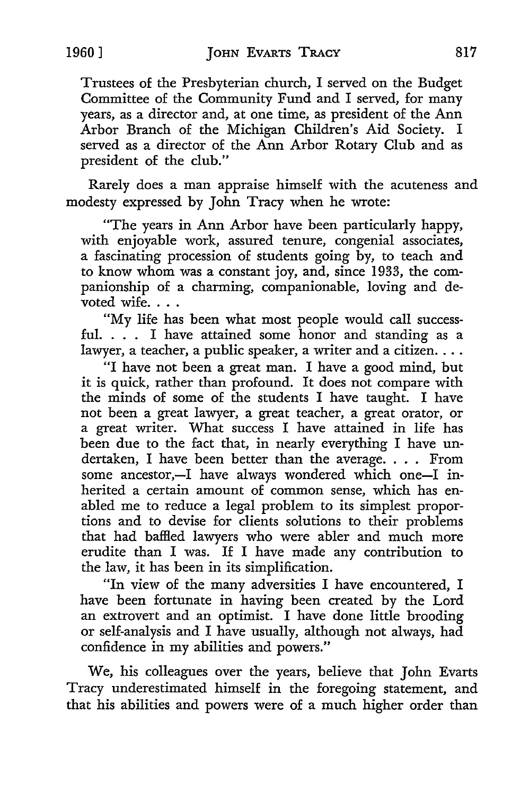Trustees of the Presbyterian church, I served on the Budget Committee of the Community Fund and I served, for many years, as a director and, at one *time,* as president of the Ann Arbor Branch of the Michigan Children's Aid Society. I served as a director of the Ann Arbor Rotary Club and as president of the club."

Rarely does a man appraise himself with the acuteness and modesty expressed by John Tracy when he wrote:

"The years in Ann Arbor have been particularly happy, with enjoyable work, assured tenure, congenial associates, a fascinating procession of students going by, to teach and to know whom was a constant joy, and, since 1933, the companionship of a charming, companionable, loving and devoted wife...

"My life has been what most people would call successful. . . . I have attained some honor and standing as a lawyer, a teacher, a public speaker, a writer and a citizen....

"I have not been a great man. I have a good mind, but it is quick, rather than profound. It does not compare with the minds of some of the students I have taught. I have not been a great lawyer, a great teacher, a great orator, or a great writer. What success I have attained in life has been due to the fact that, in nearly everything I have undertaken, I have been better than the average. . . . From some ancestor,-I have always wondered which one-I inherited a certain amount of common *sense,* which has enabled me to reduce a legal problem to its simplest proportions and to devise for clients solutions to their problems that had baffled lawyers who were abler and much more erudite than I was. If I have made any contribution to the law, it has been in its simplification.

"In view of the many adversities I have encountered, I have been fortunate in having been created by the Lord an extrovert and an optimist. I have done little brooding or self-analysis and I have usually, although not always, had confidence in my abilities and powers."

*We,* his colleagues over the years, believe that John Evarts Tracy underestimated himself in the foregoing statement, and that his abilities and powers were of a much higher order than